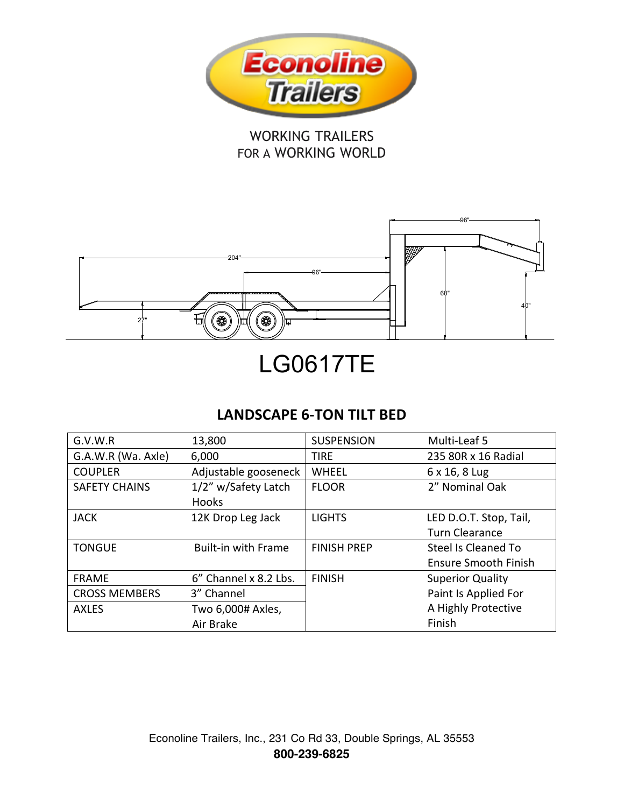

## WORKING TRAILERS FOR A WORKING WORLD



# LG0617TE

## **LANDSCAPE 6-TON TILT BED**

| G.V.W.R              | 13,800                     | <b>SUSPENSION</b>  | Multi-Leaf 5                |
|----------------------|----------------------------|--------------------|-----------------------------|
| G.A.W.R (Wa. Axle)   | 6,000                      | <b>TIRE</b>        | 235 80R x 16 Radial         |
| <b>COUPLER</b>       | Adjustable gooseneck       | WHEEL              | 6 x 16, 8 Lug               |
| <b>SAFETY CHAINS</b> | 1/2" w/Safety Latch        | <b>FLOOR</b>       | 2" Nominal Oak              |
|                      | <b>Hooks</b>               |                    |                             |
| <b>JACK</b>          | 12K Drop Leg Jack          | <b>LIGHTS</b>      | LED D.O.T. Stop, Tail,      |
|                      |                            |                    | <b>Turn Clearance</b>       |
| <b>TONGUE</b>        | <b>Built-in with Frame</b> | <b>FINISH PREP</b> | Steel Is Cleaned To         |
|                      |                            |                    | <b>Ensure Smooth Finish</b> |
| <b>FRAME</b>         | 6" Channel x 8.2 Lbs.      | <b>FINISH</b>      | <b>Superior Quality</b>     |
| <b>CROSS MEMBERS</b> | 3" Channel                 |                    | Paint Is Applied For        |
| <b>AXLES</b>         | Two 6,000# Axles,          |                    | A Highly Protective         |
|                      | Air Brake                  |                    | Finish                      |